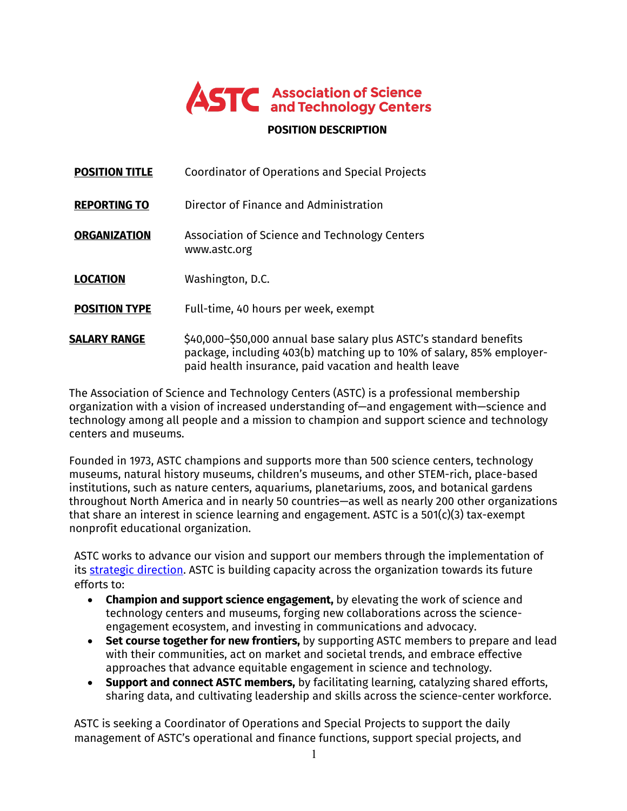

#### **POSITION DESCRIPTION**

| <b>POSITION TITLE</b> | Coordinator of Operations and Special Projects                                                                                                                                                       |
|-----------------------|------------------------------------------------------------------------------------------------------------------------------------------------------------------------------------------------------|
| <b>REPORTING TO</b>   | Director of Finance and Administration                                                                                                                                                               |
| <b>ORGANIZATION</b>   | Association of Science and Technology Centers<br>www.astc.org                                                                                                                                        |
| <b>LOCATION</b>       | Washington, D.C.                                                                                                                                                                                     |
| <b>POSITION TYPE</b>  | Full-time, 40 hours per week, exempt                                                                                                                                                                 |
| <b>SALARY RANGE</b>   | \$40,000-\$50,000 annual base salary plus ASTC's standard benefits<br>package, including 403(b) matching up to 10% of salary, 85% employer-<br>paid health insurance, paid vacation and health leave |

The Association of Science and Technology Centers (ASTC) is a professional membership organization with a vision of increased understanding of—and engagement with—science and technology among all people and a mission to champion and support science and technology centers and museums.

Founded in 1973, ASTC champions and supports more than 500 science centers, technology museums, natural history museums, children's museums, and other STEM-rich, place-based institutions, such as nature centers, aquariums, planetariums, zoos, and botanical gardens throughout North America and in nearly 50 countries—as well as nearly 200 other organizations that share an interest in science learning and engagement. ASTC is a 501(c)(3) tax-exempt nonprofit educational organization.

ASTC works to advance our vision and support our members through the implementation of its strategic direction. ASTC is building capacity across the organization towards its future efforts to:

- **Champion and support science engagement,** by elevating the work of science and technology centers and museums, forging new collaborations across the scienceengagement ecosystem, and investing in communications and advocacy.
- **Set course together for new frontiers,** by supporting ASTC members to prepare and lead with their communities, act on market and societal trends, and embrace effective approaches that advance equitable engagement in science and technology.
- **Support and connect ASTC members,** by facilitating learning, catalyzing shared efforts, sharing data, and cultivating leadership and skills across the science-center workforce.

ASTC is seeking a Coordinator of Operations and Special Projects to support the daily management of ASTC's operational and finance functions, support special projects, and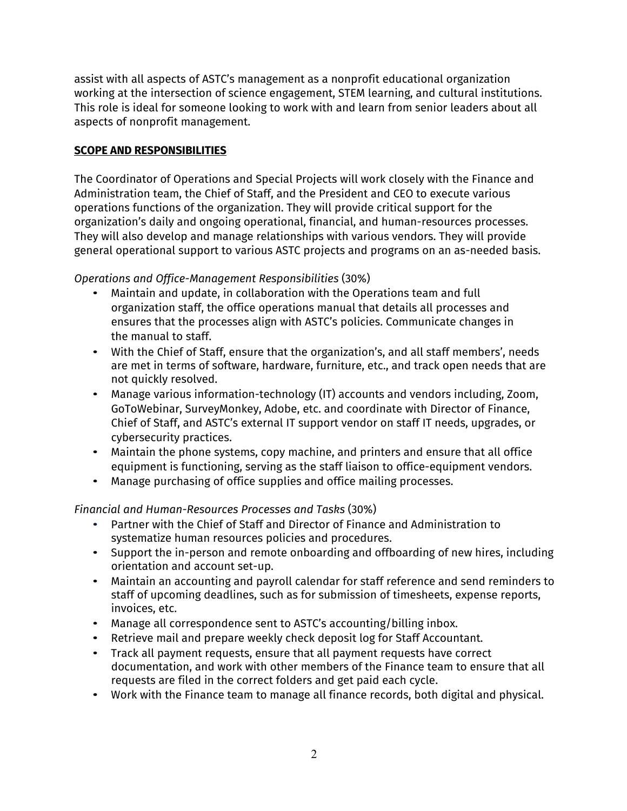assist with all aspects of ASTC's management as a nonprofit educational organization working at the intersection of science engagement, STEM learning, and cultural institutions. This role is ideal for someone looking to work with and learn from senior leaders about all aspects of nonprofit management.

### **SCOPE AND RESPONSIBILITIES**

The Coordinator of Operations and Special Projects will work closely with the Finance and Administration team, the Chief of Staff, and the President and CEO to execute various operations functions of the organization. They will provide critical support for the organization's daily and ongoing operational, financial, and human-resources processes. They will also develop and manage relationships with various vendors. They will provide general operational support to various ASTC projects and programs on an as-needed basis.

## *Operations and Office-Management Responsibilities* (30%)

- Maintain and update, in collaboration with the Operations team and full organization staff, the office operations manual that details all processes and ensures that the processes align with ASTC's policies. Communicate changes in the manual to staff.
- With the Chief of Staff, ensure that the organization's, and all staff members', needs are met in terms of software, hardware, furniture, etc., and track open needs that are not quickly resolved.
- Manage various information-technology (IT) accounts and vendors including, Zoom, GoToWebinar, SurveyMonkey, Adobe, etc. and coordinate with Director of Finance, Chief of Staff, and ASTC's external IT support vendor on staff IT needs, upgrades, or cybersecurity practices.
- Maintain the phone systems, copy machine, and printers and ensure that all office equipment is functioning, serving as the staff liaison to office-equipment vendors.
- Manage purchasing of office supplies and office mailing processes.

## *Financial and Human-Resources Processes and Tasks* (30%)

- Partner with the Chief of Staff and Director of Finance and Administration to systematize human resources policies and procedures.
- Support the in-person and remote onboarding and offboarding of new hires, including orientation and account set-up.
- Maintain an accounting and payroll calendar for staff reference and send reminders to staff of upcoming deadlines, such as for submission of timesheets, expense reports, invoices, etc.
- Manage all correspondence sent to ASTC's accounting/billing inbox.
- Retrieve mail and prepare weekly check deposit log for Staff Accountant.
- Track all payment requests, ensure that all payment requests have correct documentation, and work with other members of the Finance team to ensure that all requests are filed in the correct folders and get paid each cycle.
- Work with the Finance team to manage all finance records, both digital and physical.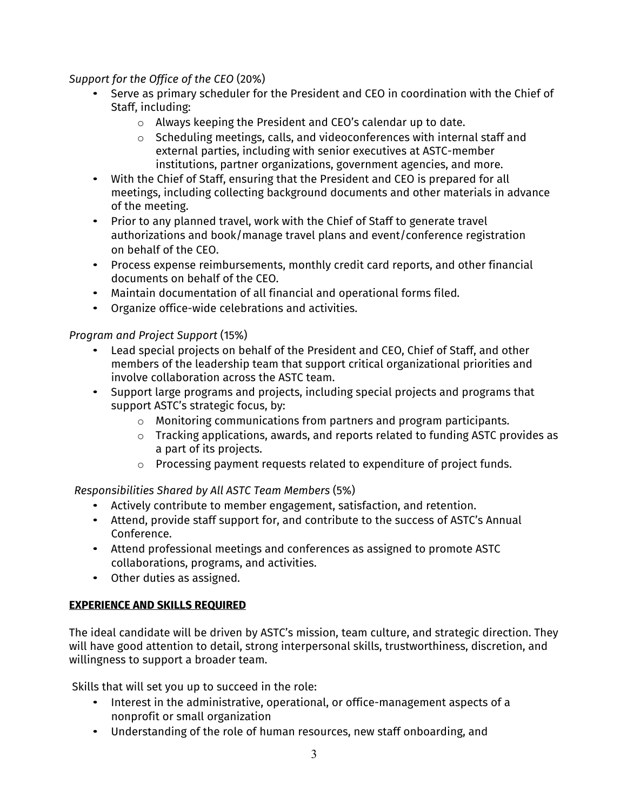*Support for the Office of the CEO* (20%)

- Serve as primary scheduler for the President and CEO in coordination with the Chief of Staff, including:
	- o Always keeping the President and CEO's calendar up to date.
	- o Scheduling meetings, calls, and videoconferences with internal staff and external parties, including with senior executives at ASTC-member institutions, partner organizations, government agencies, and more.
- With the Chief of Staff, ensuring that the President and CEO is prepared for all meetings, including collecting background documents and other materials in advance of the meeting.
- Prior to any planned travel, work with the Chief of Staff to generate travel authorizations and book/manage travel plans and event/conference registration on behalf of the CEO.
- Process expense reimbursements, monthly credit card reports, and other financial documents on behalf of the CEO.
- Maintain documentation of all financial and operational forms filed.
- Organize office-wide celebrations and activities.

*Program and Project Support* (15%)

- Lead special projects on behalf of the President and CEO, Chief of Staff, and other members of the leadership team that support critical organizational priorities and involve collaboration across the ASTC team.
- Support large programs and projects, including special projects and programs that support ASTC's strategic focus, by:
	- o Monitoring communications from partners and program participants.
	- o Tracking applications, awards, and reports related to funding ASTC provides as a part of its projects.
	- o Processing payment requests related to expenditure of project funds.

*Responsibilities Shared by All ASTC Team Members* (5%)

- Actively contribute to member engagement, satisfaction, and retention.
- Attend, provide staff support for, and contribute to the success of ASTC's Annual Conference.
- Attend professional meetings and conferences as assigned to promote ASTC collaborations, programs, and activities.
- Other duties as assigned.

# **EXPERIENCE AND SKILLS REQUIRED**

The ideal candidate will be driven by ASTC's mission, team culture, and strategic direction. They will have good attention to detail, strong interpersonal skills, trustworthiness, discretion, and willingness to support a broader team.

Skills that will set you up to succeed in the role:

- Interest in the administrative, operational, or office-management aspects of a nonprofit or small organization
- Understanding of the role of human resources, new staff onboarding, and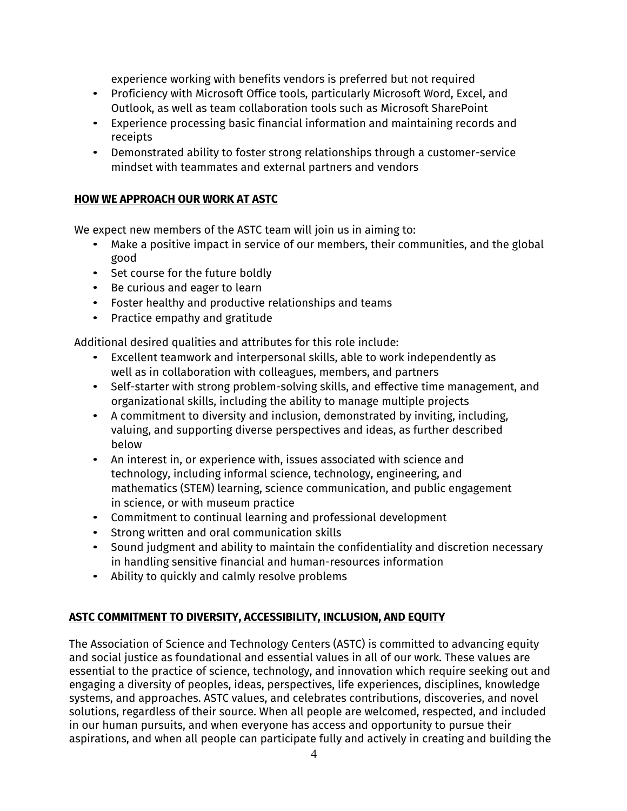experience working with benefits vendors is preferred but not required

- Proficiency with Microsoft Office tools, particularly Microsoft Word, Excel, and Outlook, as well as team collaboration tools such as Microsoft SharePoint
- Experience processing basic financial information and maintaining records and receipts
- Demonstrated ability to foster strong relationships through a customer-service mindset with teammates and external partners and vendors

## **HOW WE APPROACH OUR WORK AT ASTC**

We expect new members of the ASTC team will join us in aiming to:

- Make a positive impact in service of our members, their communities, and the global good
- Set course for the future boldly
- Be curious and eager to learn
- Foster healthy and productive relationships and teams
- Practice empathy and gratitude

Additional desired qualities and attributes for this role include:

- Excellent teamwork and interpersonal skills, able to work independently as well as in collaboration with colleagues, members, and partners
- Self-starter with strong problem-solving skills, and effective time management, and organizational skills, including the ability to manage multiple projects
- A commitment to diversity and inclusion, demonstrated by inviting, including, valuing, and supporting diverse perspectives and ideas, as further described below
- An interest in, or experience with, issues associated with science and technology, including informal science, technology, engineering, and mathematics (STEM) learning, science communication, and public engagement in science, or with museum practice
- Commitment to continual learning and professional development
- Strong written and oral communication skills
- Sound judgment and ability to maintain the confidentiality and discretion necessary in handling sensitive financial and human-resources information
- Ability to quickly and calmly resolve problems

## **ASTC COMMITMENT TO DIVERSITY, ACCESSIBILITY, INCLUSION, AND EQUITY**

The Association of Science and Technology Centers (ASTC) is committed to advancing equity and social justice as foundational and essential values in all of our work. These values are essential to the practice of science, technology, and innovation which require seeking out and engaging a diversity of peoples, ideas, perspectives, life experiences, disciplines, knowledge systems, and approaches. ASTC values, and celebrates contributions, discoveries, and novel solutions, regardless of their source. When all people are welcomed, respected, and included in our human pursuits, and when everyone has access and opportunity to pursue their aspirations, and when all people can participate fully and actively in creating and building the